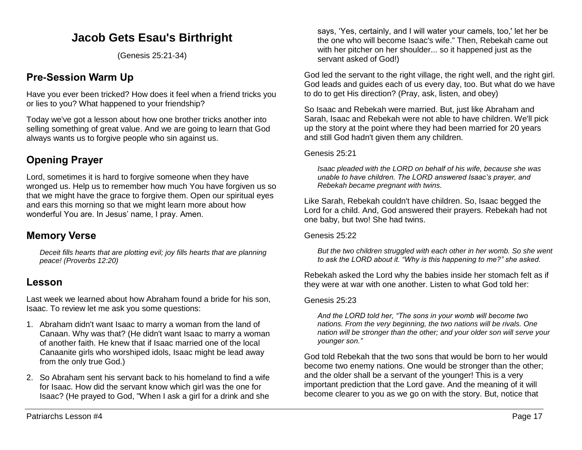# **Jacob Gets Esau's Birthright**

(Genesis 25:21-34)

## **Pre-Session Warm Up**

Have you ever been tricked? How does it feel when a friend tricks you or lies to you? What happened to your friendship?

Today we've got a lesson about how one brother tricks another into selling something of great value. And we are going to learn that God always wants us to forgive people who sin against us.

# **Opening Prayer**

Lord, sometimes it is hard to forgive someone when they have wronged us. Help us to remember how much You have forgiven us so that we might have the grace to forgive them. Open our spiritual eyes and ears this morning so that we might learn more about how wonderful You are. In Jesus' name, I pray. Amen.

## **Memory Verse**

*Deceit fills hearts that are plotting evil; joy fills hearts that are planning peace! (Proverbs 12:20)*

### **Lesson**

Last week we learned about how Abraham found a bride for his son, Isaac. To review let me ask you some questions:

- 1. Abraham didn't want Isaac to marry a woman from the land of Canaan. Why was that? (He didn't want Isaac to marry a woman of another faith. He knew that if Isaac married one of the local Canaanite girls who worshiped idols, Isaac might be lead away from the only true God.)
- 2. So Abraham sent his servant back to his homeland to find a wife for Isaac. How did the servant know which girl was the one for Isaac? (He prayed to God, "When I ask a girl for a drink and she

says, 'Yes, certainly, and I will water your camels, too,' let her be the one who will become Isaac's wife." Then, Rebekah came out with her pitcher on her shoulder... so it happened just as the servant asked of God!)

God led the servant to the right village, the right well, and the right girl. God leads and guides each of us every day, too. But what do we have to do to get His direction? (Pray, ask, listen, and obey)

So Isaac and Rebekah were married. But, just like Abraham and Sarah, Isaac and Rebekah were not able to have children. We'll pick up the story at the point where they had been married for 20 years and still God hadn't given them any children.

#### Genesis 25:21

*Isaac pleaded with the LORD on behalf of his wife, because she was unable to have children. The LORD answered Isaac's prayer, and Rebekah became pregnant with twins.* 

Like Sarah, Rebekah couldn't have children. So, Isaac begged the Lord for a child. And, God answered their prayers. Rebekah had not one baby, but two! She had twins.

#### Genesis 25:22

*But the two children struggled with each other in her womb. So she went to ask the LORD about it. "Why is this happening to me?" she asked.* 

Rebekah asked the Lord why the babies inside her stomach felt as if they were at war with one another. Listen to what God told her:

#### Genesis 25:23

*And the LORD told her, "The sons in your womb will become two nations. From the very beginning, the two nations will be rivals. One nation will be stronger than the other; and your older son will serve your younger son."*

God told Rebekah that the two sons that would be born to her would become two enemy nations. One would be stronger than the other; and the older shall be a servant of the younger! This is a very important prediction that the Lord gave. And the meaning of it will become clearer to you as we go on with the story. But, notice that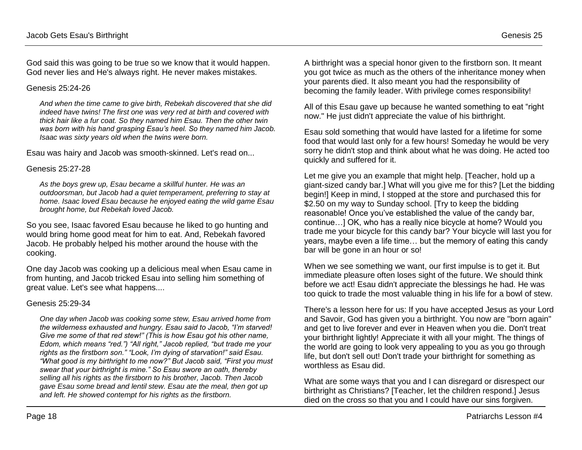God said this was going to be true so we know that it would happen. God never lies and He's always right. He never makes mistakes.

#### Genesis 25:24-26

*And when the time came to give birth, Rebekah discovered that she did indeed have twins! The first one was very red at birth and covered with thick hair like a fur coat. So they named him Esau. Then the other twin was born with his hand grasping Esau's heel. So they named him Jacob. Isaac was sixty years old when the twins were born.* 

Esau was hairy and Jacob was smooth-skinned. Let's read on...

#### Genesis 25:27-28

*As the boys grew up, Esau became a skillful hunter. He was an outdoorsman, but Jacob had a quiet temperament, preferring to stay at home. Isaac loved Esau because he enjoyed eating the wild game Esau brought home, but Rebekah loved Jacob.*

So you see, Isaac favored Esau because he liked to go hunting and would bring home good meat for him to eat. And, Rebekah favored Jacob. He probably helped his mother around the house with the cooking.

One day Jacob was cooking up a delicious meal when Esau came in from hunting, and Jacob tricked Esau into selling him something of great value. Let's see what happens....

#### Genesis 25:29-34

*One day when Jacob was cooking some stew, Esau arrived home from the wilderness exhausted and hungry. Esau said to Jacob, "I'm starved! Give me some of that red stew!" (This is how Esau got his other name, Edom, which means "red.") "All right," Jacob replied, "but trade me your rights as the firstborn son." "Look, I'm dying of starvation!" said Esau. "What good is my birthright to me now?" But Jacob said, "First you must swear that your birthright is mine." So Esau swore an oath, thereby selling all his rights as the firstborn to his brother, Jacob. Then Jacob gave Esau some bread and lentil stew. Esau ate the meal, then got up and left. He showed contempt for his rights as the firstborn.* 

A birthright was a special honor given to the firstborn son. It meant you got twice as much as the others of the inheritance money when your parents died. It also meant you had the responsibility of becoming the family leader. With privilege comes responsibility!

All of this Esau gave up because he wanted something to eat "right now." He just didn't appreciate the value of his birthright.

Esau sold something that would have lasted for a lifetime for some food that would last only for a few hours! Someday he would be very sorry he didn't stop and think about what he was doing. He acted too quickly and suffered for it.

Let me give you an example that might help. [Teacher, hold up a giant-sized candy bar.] What will you give me for this? [Let the bidding begin!] Keep in mind, I stopped at the store and purchased this for \$2.50 on my way to Sunday school. [Try to keep the bidding reasonable! Once you've established the value of the candy bar, continue…] OK, who has a really nice bicycle at home? Would you trade me your bicycle for this candy bar? Your bicycle will last you for years, maybe even a life time… but the memory of eating this candy bar will be gone in an hour or so!

When we see something we want, our first impulse is to get it. But immediate pleasure often loses sight of the future. We should think before we act! Esau didn't appreciate the blessings he had. He was too quick to trade the most valuable thing in his life for a bowl of stew.

There's a lesson here for us: If you have accepted Jesus as your Lord and Savoir, God has given you a birthright. You now are "born again" and get to live forever and ever in Heaven when you die. Don't treat your birthright lightly! Appreciate it with all your might. The things of the world are going to look very appealing to you as you go through life, but don't sell out! Don't trade your birthright for something as worthless as Esau did.

What are some ways that you and I can disregard or disrespect our birthright as Christians? [Teacher, let the children respond.] Jesus died on the cross so that you and I could have our sins forgiven.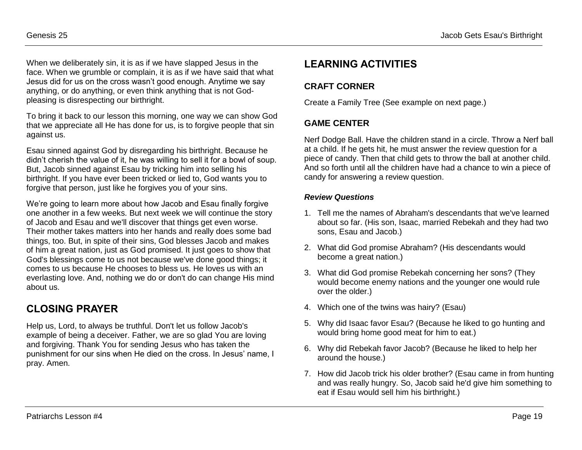When we deliberately sin, it is as if we have slapped Jesus in the face. When we grumble or complain, it is as if we have said that what Jesus did for us on the cross wasn't good enough. Anytime we say anything, or do anything, or even think anything that is not Godpleasing is disrespecting our birthright.

To bring it back to our lesson this morning, one way we can show God that we appreciate all He has done for us, is to forgive people that sin against us.

Esau sinned against God by disregarding his birthright. Because he didn't cherish the value of it, he was willing to sell it for a bowl of soup. But, Jacob sinned against Esau by tricking him into selling his birthright. If you have ever been tricked or lied to, God wants you to forgive that person, just like he forgives you of your sins.

We're going to learn more about how Jacob and Esau finally forgive one another in a few weeks. But next week we will continue the story of Jacob and Esau and we'll discover that things get even worse. Their mother takes matters into her hands and really does some bad things, too. But, in spite of their sins, God blesses Jacob and makes of him a great nation, just as God promised. It just goes to show that God's blessings come to us not because we've done good things; it comes to us because He chooses to bless us. He loves us with an everlasting love. And, nothing we do or don't do can change His mind about us.

# **CLOSING PRAYER**

Help us, Lord, to always be truthful. Don't let us follow Jacob's example of being a deceiver. Father, we are so glad You are loving and forgiving. Thank You for sending Jesus who has taken the punishment for our sins when He died on the cross. In Jesus' name, I pray. Amen.

## **LEARNING ACTIVITIES**

### **CRAFT CORNER**

Create a Family Tree (See example on next page.)

### **GAME CENTER**

Nerf Dodge Ball. Have the children stand in a circle. Throw a Nerf ball at a child. If he gets hit, he must answer the review question for a piece of candy. Then that child gets to throw the ball at another child. And so forth until all the children have had a chance to win a piece of candy for answering a review question.

#### *Review Questions*

- 1. Tell me the names of Abraham's descendants that we've learned about so far. (His son, Isaac, married Rebekah and they had two sons, Esau and Jacob.)
- 2. What did God promise Abraham? (His descendants would become a great nation.)
- 3. What did God promise Rebekah concerning her sons? (They would become enemy nations and the younger one would rule over the older.)
- 4. Which one of the twins was hairy? (Esau)
- 5. Why did Isaac favor Esau? (Because he liked to go hunting and would bring home good meat for him to eat.)
- 6. Why did Rebekah favor Jacob? (Because he liked to help her around the house.)
- 7. How did Jacob trick his older brother? (Esau came in from hunting and was really hungry. So, Jacob said he'd give him something to eat if Esau would sell him his birthright.)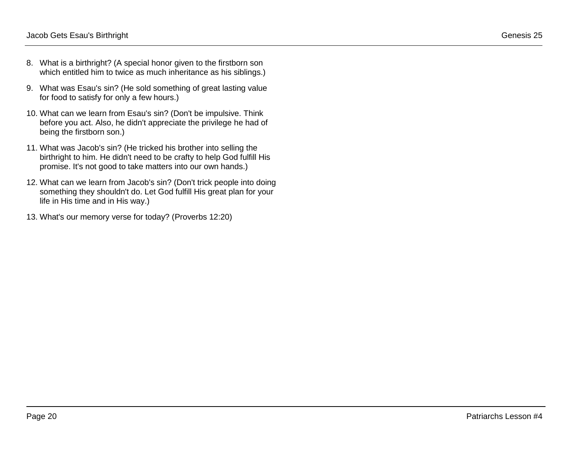- 8. What is a birthright? (A special honor given to the firstborn son which entitled him to twice as much inheritance as his siblings.)
- 9. What was Esau's sin? (He sold something of great lasting value for food to satisfy for only a few hours.)
- 10. What can we learn from Esau's sin? (Don't be impulsive. Think before you act. Also, he didn't appreciate the privilege he had of being the firstborn son.)
- 11. What was Jacob's sin? (He tricked his brother into selling the birthright to him. He didn't need to be crafty to help God fulfill His promise. It's not good to take matters into our own hands.)
- 12. What can we learn from Jacob's sin? (Don't trick people into doing something they shouldn't do. Let God fulfill His great plan for your life in His time and in His way.)
- 13. What's our memory verse for today? (Proverbs 12:20)